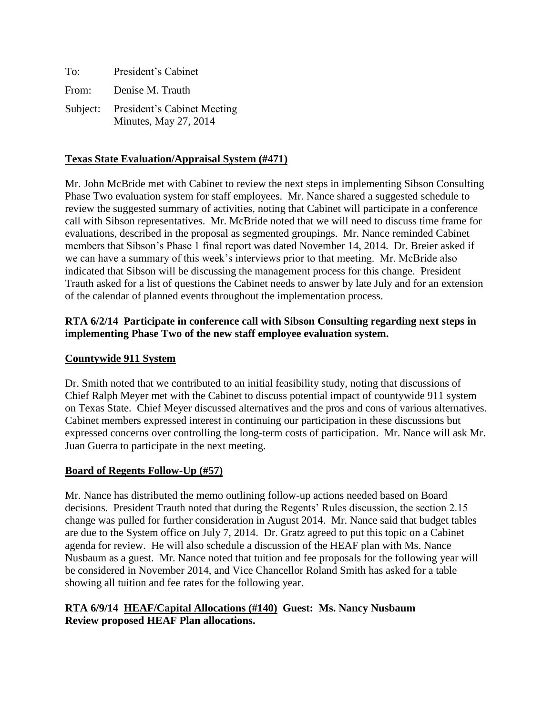| To:   | President's Cabinet                                           |
|-------|---------------------------------------------------------------|
| From: | Denise M. Trauth                                              |
|       | Subject: President's Cabinet Meeting<br>Minutes, May 27, 2014 |

## **Texas State Evaluation/Appraisal System (#471)**

Mr. John McBride met with Cabinet to review the next steps in implementing Sibson Consulting Phase Two evaluation system for staff employees. Mr. Nance shared a suggested schedule to review the suggested summary of activities, noting that Cabinet will participate in a conference call with Sibson representatives. Mr. McBride noted that we will need to discuss time frame for evaluations, described in the proposal as segmented groupings. Mr. Nance reminded Cabinet members that Sibson's Phase 1 final report was dated November 14, 2014. Dr. Breier asked if we can have a summary of this week's interviews prior to that meeting. Mr. McBride also indicated that Sibson will be discussing the management process for this change. President Trauth asked for a list of questions the Cabinet needs to answer by late July and for an extension of the calendar of planned events throughout the implementation process.

## **RTA 6/2/14 Participate in conference call with Sibson Consulting regarding next steps in implementing Phase Two of the new staff employee evaluation system.**

### **Countywide 911 System**

Dr. Smith noted that we contributed to an initial feasibility study, noting that discussions of Chief Ralph Meyer met with the Cabinet to discuss potential impact of countywide 911 system on Texas State. Chief Meyer discussed alternatives and the pros and cons of various alternatives. Cabinet members expressed interest in continuing our participation in these discussions but expressed concerns over controlling the long-term costs of participation. Mr. Nance will ask Mr. Juan Guerra to participate in the next meeting.

## **Board of Regents Follow-Up (#57)**

Mr. Nance has distributed the memo outlining follow-up actions needed based on Board decisions. President Trauth noted that during the Regents' Rules discussion, the section 2.15 change was pulled for further consideration in August 2014. Mr. Nance said that budget tables are due to the System office on July 7, 2014. Dr. Gratz agreed to put this topic on a Cabinet agenda for review. He will also schedule a discussion of the HEAF plan with Ms. Nance Nusbaum as a guest. Mr. Nance noted that tuition and fee proposals for the following year will be considered in November 2014, and Vice Chancellor Roland Smith has asked for a table showing all tuition and fee rates for the following year.

### **RTA 6/9/14 HEAF/Capital Allocations (#140) Guest: Ms. Nancy Nusbaum Review proposed HEAF Plan allocations.**